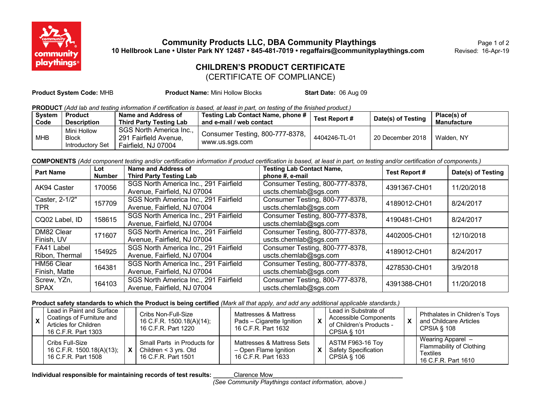

**Community Products LLC, DBA Community Playthings** Page 1 of 2 **10 Hellbrook Lane • Ulster Park NY 12487 • 845-481-7019 • regaffairs@communityplaythings.com** Revised: 16-Apr-19

## **CHILDREN'S PRODUCT CERTIFICATE**

(CERTIFICATE OF COMPLIANCE)

**Product System Code:** MHB **Product Name:** Mini Hollow Blocks **Start Date:** 06 Aug 09

**PRODUCT** *(Add lab and testing information if certification is based, at least in part, on testing of the finished product.)*

| <b>System</b><br>Code | Product<br><b>Description</b>                   | Name and Address of<br>Third Party Testing Lab                          | Testing Lab Contact Name, phone #  <br>and e-mail / web contact | Test Report # | Date(s) of Testing | Place(s) of<br>Manufacture |
|-----------------------|-------------------------------------------------|-------------------------------------------------------------------------|-----------------------------------------------------------------|---------------|--------------------|----------------------------|
| <b>MHB</b>            | Mini Hollow<br><b>Block</b><br>Introductory Set | SGS North America Inc.,<br>291 Fairfield Avenue.<br>Fairfield, NJ 07004 | Consumer Testing, 800-777-8378,<br>www.us.sqs.com               | 4404246-TL-01 | 20 December 2018   | Walden, NY                 |

**COMPONENTS** *(Add component testing and/or certification information if product certification is based, at least in part, on testing and/or certification of components.)*

| <b>Part Name</b>             | Lot<br><b>Number</b> | Name and Address of<br><b>Third Party Testing Lab</b>                | <b>Testing Lab Contact Name,</b><br>phone #, e-mail      | <b>Test Report #</b> | Date(s) of Testing |
|------------------------------|----------------------|----------------------------------------------------------------------|----------------------------------------------------------|----------------------|--------------------|
| AK94 Caster                  | 170056               | SGS North America Inc., 291 Fairfield<br>Avenue, Fairfield, NJ 07004 | Consumer Testing, 800-777-8378,<br>uscts.chemlab@sgs.com | 4391367-CH01         | 11/20/2018         |
| Caster, 2-1/2"<br>TPR        | 157709               | SGS North America Inc., 291 Fairfield<br>Avenue, Fairfield, NJ 07004 | Consumer Testing, 800-777-8378,<br>uscts.chemlab@sgs.com | 4189012-CH01         | 8/24/2017          |
| CQ02 Label, ID               | 158615               | SGS North America Inc., 291 Fairfield<br>Avenue, Fairfield, NJ 07004 | Consumer Testing, 800-777-8378,<br>uscts.chemlab@sgs.com | 4190481-CH01         | 8/24/2017          |
| DM82 Clear<br>Finish, UV     | 171607               | SGS North America Inc., 291 Fairfield<br>Avenue, Fairfield, NJ 07004 | Consumer Testing, 800-777-8378,<br>uscts.chemlab@sgs.com | 4402005-CH01         | 12/10/2018         |
| FA41 Label<br>Ribon, Thermal | 154925               | SGS North America Inc., 291 Fairfield<br>Avenue, Fairfield, NJ 07004 | Consumer Testing, 800-777-8378,<br>uscts.chemlab@sgs.com | 4189012-CH01         | 8/24/2017          |
| HM56 Clear<br>Finish, Matte  | 164381               | SGS North America Inc., 291 Fairfield<br>Avenue, Fairfield, NJ 07004 | Consumer Testing, 800-777-8378,<br>uscts.chemlab@sgs.com | 4278530-CH01         | 3/9/2018           |
| Screw, YZn,<br><b>SPAX</b>   | 164103               | SGS North America Inc., 291 Fairfield<br>Avenue, Fairfield, NJ 07004 | Consumer Testing, 800-777-8378,<br>uscts.chemlab@sgs.com | 4391388-CH01         | 11/20/2018         |

**Product safety standards to which the Product is being certified** *(Mark all that apply, and add any additional applicable standards.)*

| Lead in Paint and Surface<br>Coatings of Furniture and<br>Articles for Children<br>16 C.F.R. Part 1303 | Cribs Non-Full-Size<br>16 C.F.R. 1500.18(A)(14);<br>16 C.F.R. Part 1220           | Mattresses & Mattress<br>Pads - Cigarette Ignition<br>16 C.F.R. Part 1632  | Lead in Substrate of<br>Accessible Components<br>of Children's Products -<br><b>CPSIA &amp; 101</b> | Phthalates in Children's Toys<br>and Childcare Articles<br>CPSIA § 108                  |
|--------------------------------------------------------------------------------------------------------|-----------------------------------------------------------------------------------|----------------------------------------------------------------------------|-----------------------------------------------------------------------------------------------------|-----------------------------------------------------------------------------------------|
| Cribs Full-Size<br>16 C.F.R. 1500.18(A)(13);<br>16 C.F.R. Part 1508                                    | Small Parts in Products for<br>$X$   Children < 3 yrs. Old<br>16 C.F.R. Part 1501 | Mattresses & Mattress Sets<br>- Open Flame Ignition<br>16 C.F.R. Part 1633 | ASTM F963-16 Toy<br><b>Safety Specification</b><br>CPSIA § 106                                      | Wearing Apparel -<br>Flammability of Clothing<br><b>Textiles</b><br>16 C.F.R. Part 1610 |

Individual responsible for maintaining records of test results: <u>Clarence Mow</u>

*(See Community Playthings contact information, above.)*